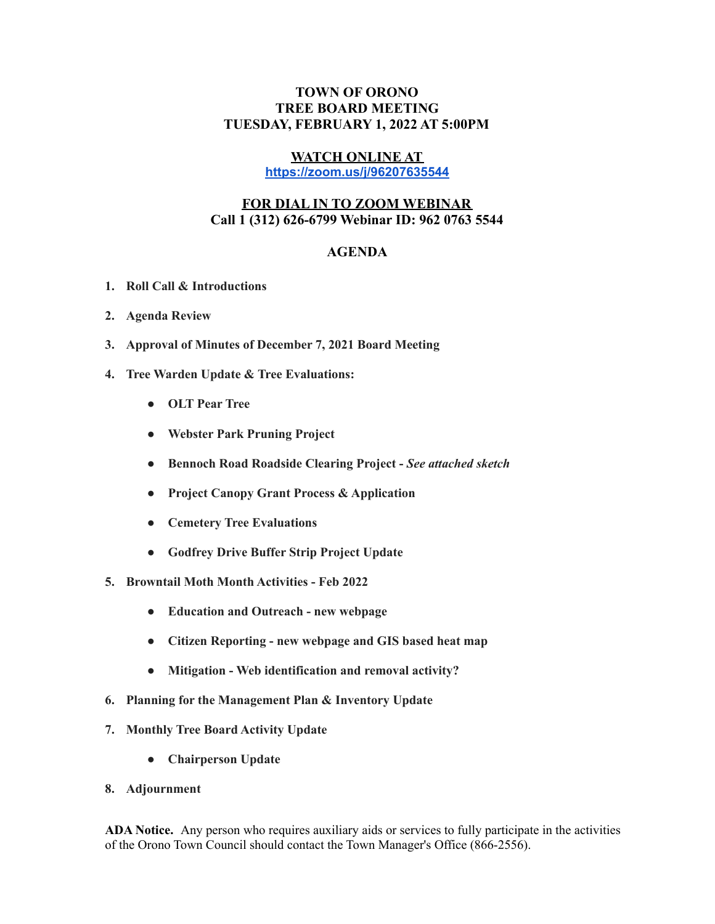## **TOWN OF ORONO TREE BOARD MEETING TUESDAY, FEBRUARY 1, 2022 AT 5:00PM**

## **WATCH ONLINE AT**

**<https://zoom.us/j/96207635544>**

## **FOR DIAL IN TO ZOOM WEBINAR Call 1 (312) 626-6799 Webinar ID: 962 0763 5544**

## **AGENDA**

- **1. Roll Call & Introductions**
- **2. Agenda Review**
- **3. Approval of Minutes of December 7, 2021 Board Meeting**
- **4. Tree Warden Update & Tree Evaluations:**
	- **● OLT Pear Tree**
	- **● Webster Park Pruning Project**
	- **● Bennoch Road Roadside Clearing Project -** *See attached sketch*
	- **● Project Canopy Grant Process & Application**
	- **● Cemetery Tree Evaluations**
	- **● Godfrey Drive Buffer Strip Project Update**
- **5. Browntail Moth Month Activities - Feb 2022**
	- **● Education and Outreach - new webpage**
	- **● Citizen Reporting - new webpage and GIS based heat map**
	- **● Mitigation - Web identification and removal activity?**
- **6. Planning for the Management Plan & Inventory Update**
- **7. Monthly Tree Board Activity Update**
	- **● Chairperson Update**
- **8. Adjournment**

**ADA Notice.** Any person who requires auxiliary aids or services to fully participate in the activities of the Orono Town Council should contact the Town Manager's Office (866-2556).